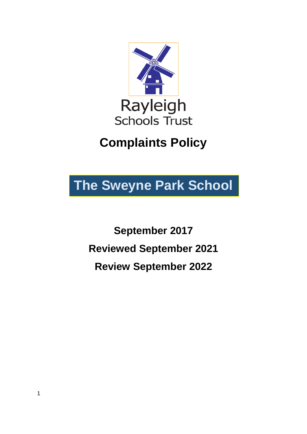

# **Complaints Policy**

# **The Sweyne Park School**

**September 2017 Reviewed September 2021 Review September 2022**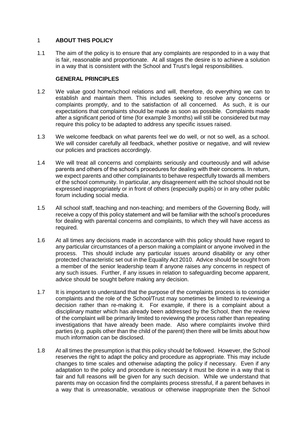### 1 **ABOUT THIS POLICY**

1.1 The aim of the policy is to ensure that any complaints are responded to in a way that is fair, reasonable and proportionate. At all stages the desire is to achieve a solution in a way that is consistent with the School and Trust's legal responsibilities.

#### **GENERAL PRINCIPLES**

- 1.2 We value good home/school relations and will, therefore, do everything we can to establish and maintain them. This includes seeking to resolve any concerns or complaints promptly, and to the satisfaction of all concerned. As such, it is our expectations that complaints should be made as soon as possible. Complaints made after a significant period of time (for example 3 months) will still be considered but may require this policy to be adapted to address any specific issues raised.
- 1.3 We welcome feedback on what parents feel we do well, or not so well, as a school. We will consider carefully all feedback, whether positive or negative, and will review our policies and practices accordingly.
- 1.4 We will treat all concerns and complaints seriously and courteously and will advise parents and others of the school's procedures for dealing with their concerns. In return, we expect parents and other complainants to behave respectfully towards all members of the school community. In particular, any disagreement with the school should not be expressed inappropriately or in front of others (especially pupils) or in any other public forum including social media.
- 1.5 All school staff, teaching and non-teaching; and members of the Governing Body, will receive a copy of this policy statement and will be familiar with the school's procedures for dealing with parental concerns and complaints, to which they will have access as required.
- 1.6 At all times any decisions made in accordance with this policy should have regard to any particular circumstances of a person making a complaint or anyone involved in the process. This should include any particular issues around disability or any other protected characteristic set out in the Equality Act 2010. Advice should be sought from a member of the senior leadership team if anyone raises any concerns in respect of any such issues. Further, if any issues in relation to safeguarding become apparent, advice should be sought before making any decision.
- 1.7 It is important to understand that the purpose of the complaints process is to consider complaints and the role of the School/Trust may sometimes be limited to reviewing a decision rather than re-making it. For example, if there is a complaint about a disciplinary matter which has already been addressed by the School, then the review of the complaint will be primarily limited to reviewing the process rather than repeating investigations that have already been made. Also where complaints involve third parties (e.g. pupils other than the child of the parent) then there will be limits about how much information can be disclosed.
- 1.8 At all times the presumption is that this policy should be followed. However, the School reserves the right to adapt the policy and procedure as appropriate. This may include changes to time scales and otherwise adapting the policy if necessary. Even if any adaptation to the policy and procedure is necessary it must be done in a way that is fair and full reasons will be given for any such decision. While we understand that parents may on occasion find the complaints process stressful, if a parent behaves in a way that is unreasonable, vexatious or otherwise inappropriate then the School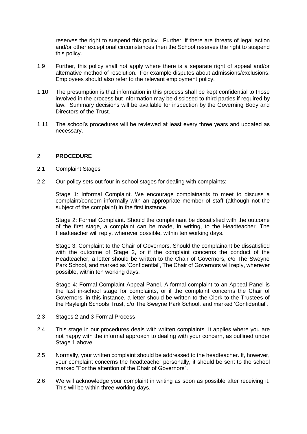reserves the right to suspend this policy. Further, if there are threats of legal action and/or other exceptional circumstances then the School reserves the right to suspend this policy.

- 1.9 Further, this policy shall not apply where there is a separate right of appeal and/or alternative method of resolution. For example disputes about admissions/exclusions. Employees should also refer to the relevant employment policy.
- 1.10 The presumption is that information in this process shall be kept confidential to those involved in the process but information may be disclosed to third parties if required by law. Summary decisions will be available for inspection by the Governing Body and Directors of the Trust.
- 1.11 The school's procedures will be reviewed at least every three years and updated as necessary.

# 2 **PROCEDURE**

- 2.1 Complaint Stages
- 2.2 Our policy sets out four in-school stages for dealing with complaints:

Stage 1: Informal Complaint. We encourage complainants to meet to discuss a complaint/concern informally with an appropriate member of staff (although not the subject of the complaint) in the first instance.

Stage 2: Formal Complaint. Should the complainant be dissatisfied with the outcome of the first stage, a complaint can be made, in writing, to the Headteacher. The Headteacher will reply, wherever possible, within ten working days.

Stage 3: Complaint to the Chair of Governors. Should the complainant be dissatisfied with the outcome of Stage 2, or if the complaint concerns the conduct of the Headteacher, a letter should be written to the Chair of Governors, c/o The Sweyne Park School, and marked as 'Confidential', The Chair of Governors will reply, wherever possible, within ten working days.

Stage 4: Formal Complaint Appeal Panel. A formal complaint to an Appeal Panel is the last in-school stage for complaints, or if the complaint concerns the Chair of Governors, in this instance, a letter should be written to the Clerk to the Trustees of the Rayleigh Schools Trust, c/o The Sweyne Park School, and marked 'Confidential'.

- 2.3 Stages 2 and 3 Formal Process
- 2.4 This stage in our procedures deals with written complaints. It applies where you are not happy with the informal approach to dealing with your concern, as outlined under Stage 1 above.
- 2.5 Normally, your written complaint should be addressed to the headteacher. If, however, your complaint concerns the headteacher personally, it should be sent to the school marked "For the attention of the Chair of Governors".
- 2.6 We will acknowledge your complaint in writing as soon as possible after receiving it. This will be within three working days.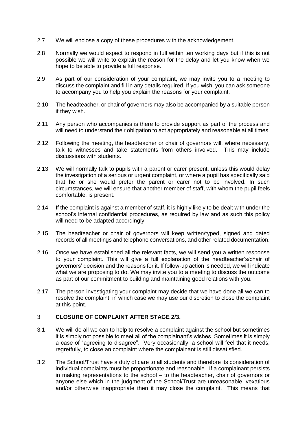- 2.7 We will enclose a copy of these procedures with the acknowledgement.
- 2.8 Normally we would expect to respond in full within ten working days but if this is not possible we will write to explain the reason for the delay and let you know when we hope to be able to provide a full response.
- 2.9 As part of our consideration of your complaint, we may invite you to a meeting to discuss the complaint and fill in any details required. If you wish, you can ask someone to accompany you to help you explain the reasons for your complaint.
- 2.10 The headteacher, or chair of governors may also be accompanied by a suitable person if they wish.
- 2.11 Any person who accompanies is there to provide support as part of the process and will need to understand their obligation to act appropriately and reasonable at all times.
- 2.12 Following the meeting, the headteacher or chair of governors will, where necessary, talk to witnesses and take statements from others involved. This may include discussions with students.
- 2.13 We will normally talk to pupils with a parent or carer present, unless this would delay the investigation of a serious or urgent complaint, or where a pupil has specifically said that he or she would prefer the parent or carer not to be involved. In such circumstances, we will ensure that another member of staff, with whom the pupil feels comfortable, is present.
- 2.14 If the complaint is against a member of staff, it is highly likely to be dealt with under the school's internal confidential procedures, as required by law and as such this policy will need to be adapted accordingly.
- 2.15 The headteacher or chair of governors will keep written/typed, signed and dated records of all meetings and telephone conversations, and other related documentation.
- 2.16 Once we have established all the relevant facts, we will send you a written response to your complaint. This will give a full explanation of the headteacher's/chair of governors' decision and the reasons for it. If follow-up action is needed, we will indicate what we are proposing to do. We may invite you to a meeting to discuss the outcome as part of our commitment to building and maintaining good relations with you.
- 2.17 The person investigating your complaint may decide that we have done all we can to resolve the complaint, in which case we may use our discretion to close the complaint at this point.

### 3 **CLOSURE OF COMPLAINT AFTER STAGE 2/3.**

- 3.1 We will do all we can to help to resolve a complaint against the school but sometimes it is simply not possible to meet all of the complainant's wishes. Sometimes it is simply a case of "agreeing to disagree". Very occasionally, a school will feel that it needs, regretfully, to close an complaint where the complainant is still dissatisfied.
- 3.2 The School/Trust have a duty of care to all students and therefore its consideration of individual complaints must be proportionate and reasonable. If a complainant persists in making representations to the school – to the headteacher, chair of governors or anyone else which in the judgment of the School/Trust are unreasonable, vexatious and/or otherwise inappropriate then it may close the complaint. This means that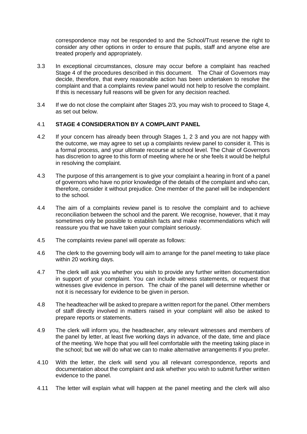correspondence may not be responded to and the School/Trust reserve the right to consider any other options in order to ensure that pupils, staff and anyone else are treated properly and appropriately.

- 3.3 In exceptional circumstances, closure may occur before a complaint has reached Stage 4 of the procedures described in this document. The Chair of Governors may decide, therefore, that every reasonable action has been undertaken to resolve the complaint and that a complaints review panel would not help to resolve the complaint. If this is necessary full reasons will be given for any decision reached.
- 3.4 If we do not close the complaint after Stages 2/3, you may wish to proceed to Stage 4, as set out below.

#### 4.1 **STAGE 4 CONSIDERATION BY A COMPLAINT PANEL**

- 4.2 If your concern has already been through Stages 1, 2 3 and you are not happy with the outcome, we may agree to set up a complaints review panel to consider it. This is a formal process, and your ultimate recourse at school level. The Chair of Governors has discretion to agree to this form of meeting where he or she feels it would be helpful in resolving the complaint.
- 4.3 The purpose of this arrangement is to give your complaint a hearing in front of a panel of governors who have no prior knowledge of the details of the complaint and who can, therefore, consider it without prejudice. One member of the panel will be independent to the school.
- 4.4 The aim of a complaints review panel is to resolve the complaint and to achieve reconciliation between the school and the parent. We recognise, however, that it may sometimes only be possible to establish facts and make recommendations which will reassure you that we have taken your complaint seriously.
- 4.5 The complaints review panel will operate as follows:
- 4.6 The clerk to the governing body will aim to arrange for the panel meeting to take place within 20 working days.
- 4.7 The clerk will ask you whether you wish to provide any further written documentation in support of your complaint. You can include witness statements, or request that witnesses give evidence in person. The chair of the panel will determine whether or not it is necessary for evidence to be given in person.
- 4.8 The headteacher will be asked to prepare a written report for the panel. Other members of staff directly involved in matters raised in your complaint will also be asked to prepare reports or statements.
- 4.9 The clerk will inform you, the headteacher, any relevant witnesses and members of the panel by letter, at least five working days in advance, of the date, time and place of the meeting. We hope that you will feel comfortable with the meeting taking place in the school; but we will do what we can to make alternative arrangements if you prefer.
- 4.10 With the letter, the clerk will send you all relevant correspondence, reports and documentation about the complaint and ask whether you wish to submit further written evidence to the panel.
- 4.11 The letter will explain what will happen at the panel meeting and the clerk will also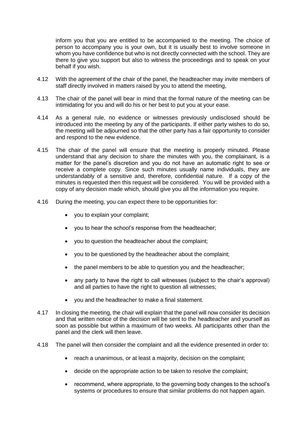inform you that you are entitled to be accompanied to the meeting. The choice of person to accompany you is your own, but it is usually best to involve someone in whom you have confidence but who is not directly connected with the school. They are there to give you support but also to witness the proceedings and to speak on your behalf if you wish.

- 4.12 With the agreement of the chair of the panel, the headteacher may invite members of staff directly involved in matters raised by you to attend the meeting,
- 4.13 The chair of the panel will bear in mind that the formal nature of the meeting can be intimidating for you and will do his or her best to put you at your ease.
- 4.14 As a general rule, no evidence or witnesses previously undisclosed should be introduced into the meeting by any of the participants. If either party wishes to do so, the meeting will be adjourned so that the other party has a fair opportunity to consider and respond to the new evidence.
- 4.15 The chair of the panel will ensure that the meeting is properly minuted. Please understand that any decision to share the minutes with you, the complainant, is a matter for the panel's discretion and you do not have an automatic right to see or receive a complete copy. Since such minutes usually name individuals, they are understandably of a sensitive and, therefore, confidential nature. If a copy of the minutes is requested then this request will be considered. You will be provided with a copy of any decision made which, should give you all the information you require.
- 4.16 During the meeting, you can expect there to be opportunities for:
	- you to explain your complaint;
	- you to hear the school's response from the headteacher;
	- you to question the headteacher about the complaint;
	- you to be questioned by the headteacher about the complaint;
	- the panel members to be able to question you and the headteacher;
	- any party to have the right to call witnesses (subject to the chair's approval) and all parties to have the right to question all witnesses;
	- you and the headteacher to make a final statement.
- 4.17 In closing the meeting, the chair will explain that the panel will now consider its decision and that written notice of the decision will be sent to the headteacher and yourself as soon as possible but within a maximum of two weeks. All participants other than the panel and the clerk will then leave.
- 4.18 The panel will then consider the complaint and all the evidence presented in order to:
	- reach a unanimous, or at least a majority, decision on the complaint;
	- decide on the appropriate action to be taken to resolve the complaint;
	- recommend, where appropriate, to the governing body changes to the school's systems or procedures to ensure that similar problems do not happen again.